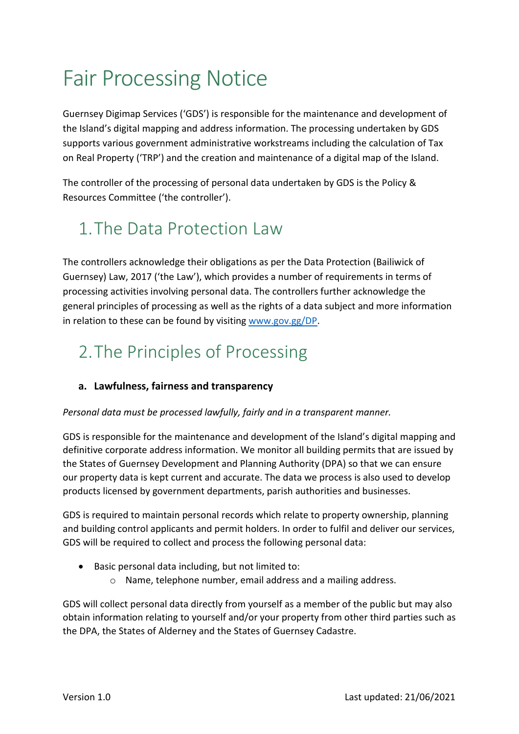# Fair Processing Notice

Guernsey Digimap Services ('GDS') is responsible for the maintenance and development of the Island's digital mapping and address information. The processing undertaken by GDS supports various government administrative workstreams including the calculation of Tax on Real Property ('TRP') and the creation and maintenance of a digital map of the Island.

The controller of the processing of personal data undertaken by GDS is the Policy & Resources Committee ('the controller').

## 1.The Data Protection Law

The controllers acknowledge their obligations as per the Data Protection (Bailiwick of Guernsey) Law, 2017 ('the Law'), which provides a number of requirements in terms of processing activities involving personal data. The controllers further acknowledge the general principles of processing as well as the rights of a data subject and more information in relation to these can be found by visiting www.gov.gg/DP.

### 2.The Principles of Processing

### **a. Lawfulness, fairness and transparency**

#### *Personal data must be processed lawfully, fairly and in a transparent manner.*

GDS is responsible for the maintenance and development of the Island's digital mapping and definitive corporate address information. We monitor all building permits that are issued by the States of Guernsey Development and Planning Authority (DPA) so that we can ensure our property data is kept current and accurate. The data we process is also used to develop products licensed by government departments, parish authorities and businesses.

GDS is required to maintain personal records which relate to property ownership, planning and building control applicants and permit holders. In order to fulfil and deliver our services, GDS will be required to collect and process the following personal data:

- Basic personal data including, but not limited to:
	- o Name, telephone number, email address and a mailing address.

GDS will collect personal data directly from yourself as a member of the public but may also obtain information relating to yourself and/or your property from other third parties such as the DPA, the States of Alderney and the States of Guernsey Cadastre.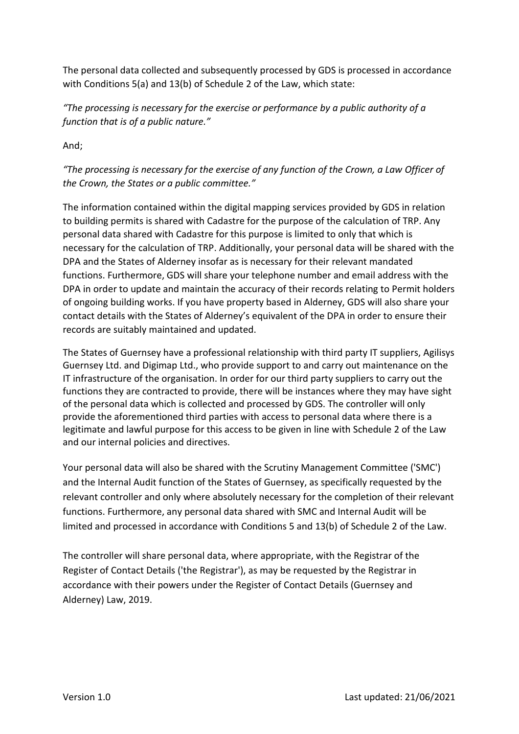The personal data collected and subsequently processed by GDS is processed in accordance with Conditions 5(a) and 13(b) of Schedule 2 of the Law, which state:

*"The processing is necessary for the exercise or performance by a public authority of a function that is of a public nature."*

And;

*"The processing is necessary for the exercise of any function of the Crown, a Law Officer of the Crown, the States or a public committee."* 

The information contained within the digital mapping services provided by GDS in relation to building permits is shared with Cadastre for the purpose of the calculation of TRP. Any personal data shared with Cadastre for this purpose is limited to only that which is necessary for the calculation of TRP. Additionally, your personal data will be shared with the DPA and the States of Alderney insofar as is necessary for their relevant mandated functions. Furthermore, GDS will share your telephone number and email address with the DPA in order to update and maintain the accuracy of their records relating to Permit holders of ongoing building works. If you have property based in Alderney, GDS will also share your contact details with the States of Alderney's equivalent of the DPA in order to ensure their records are suitably maintained and updated.

The States of Guernsey have a professional relationship with third party IT suppliers, Agilisys Guernsey Ltd. and Digimap Ltd., who provide support to and carry out maintenance on the IT infrastructure of the organisation. In order for our third party suppliers to carry out the functions they are contracted to provide, there will be instances where they may have sight of the personal data which is collected and processed by GDS. The controller will only provide the aforementioned third parties with access to personal data where there is a legitimate and lawful purpose for this access to be given in line with Schedule 2 of the Law and our internal policies and directives.

Your personal data will also be shared with the Scrutiny Management Committee ('SMC') and the Internal Audit function of the States of Guernsey, as specifically requested by the relevant controller and only where absolutely necessary for the completion of their relevant functions. Furthermore, any personal data shared with SMC and Internal Audit will be limited and processed in accordance with Conditions 5 and 13(b) of Schedule 2 of the Law.

The controller will share personal data, where appropriate, with the Registrar of the Register of Contact Details ('the Registrar'), as may be requested by the Registrar in accordance with their powers under the Register of Contact Details (Guernsey and Alderney) Law, 2019.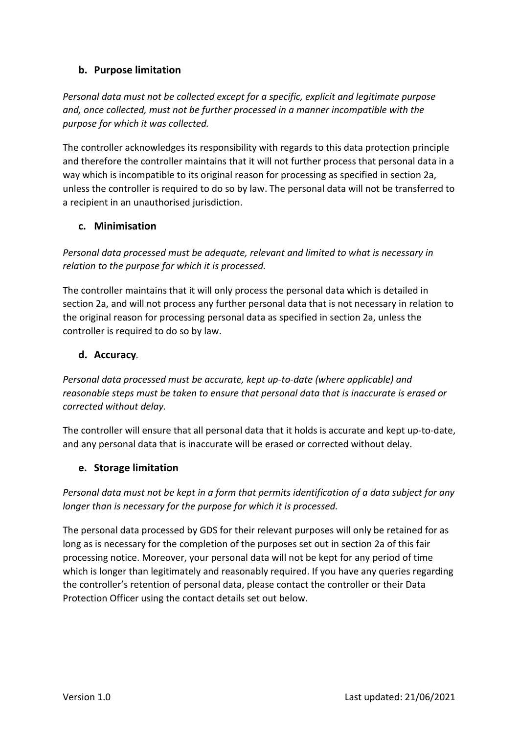#### **b. Purpose limitation**

*Personal data must not be collected except for a specific, explicit and legitimate purpose and, once collected, must not be further processed in a manner incompatible with the purpose for which it was collected.* 

The controller acknowledges its responsibility with regards to this data protection principle and therefore the controller maintains that it will not further process that personal data in a way which is incompatible to its original reason for processing as specified in section 2a, unless the controller is required to do so by law. The personal data will not be transferred to a recipient in an unauthorised jurisdiction.

#### **c. Minimisation**

*Personal data processed must be adequate, relevant and limited to what is necessary in relation to the purpose for which it is processed.* 

The controller maintains that it will only process the personal data which is detailed in section 2a, and will not process any further personal data that is not necessary in relation to the original reason for processing personal data as specified in section 2a, unless the controller is required to do so by law.

#### **d. Accuracy***.*

*Personal data processed must be accurate, kept up-to-date (where applicable) and reasonable steps must be taken to ensure that personal data that is inaccurate is erased or corrected without delay.* 

The controller will ensure that all personal data that it holds is accurate and kept up-to-date, and any personal data that is inaccurate will be erased or corrected without delay.

#### **e. Storage limitation**

*Personal data must not be kept in a form that permits identification of a data subject for any longer than is necessary for the purpose for which it is processed.*

The personal data processed by GDS for their relevant purposes will only be retained for as long as is necessary for the completion of the purposes set out in section 2a of this fair processing notice. Moreover, your personal data will not be kept for any period of time which is longer than legitimately and reasonably required. If you have any queries regarding the controller's retention of personal data, please contact the controller or their Data Protection Officer using the contact details set out below.